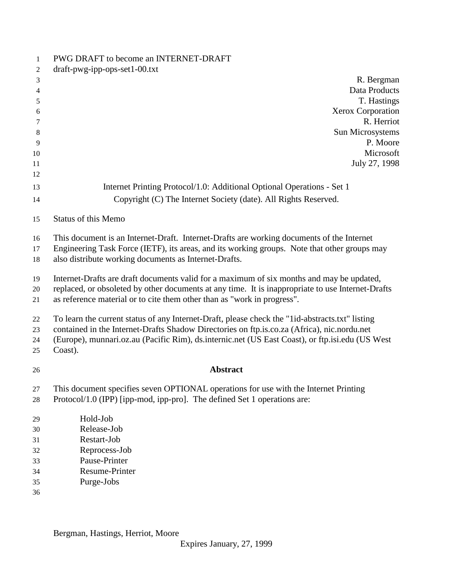| 1              | PWG DRAFT to become an INTERNET-DRAFT                                                             |
|----------------|---------------------------------------------------------------------------------------------------|
| 2              | $dr$ aft-pwg-ipp-ops-set1-00.txt                                                                  |
| 3              | R. Bergman                                                                                        |
| $\overline{4}$ | Data Products                                                                                     |
| 5              | T. Hastings                                                                                       |
| 6              | <b>Xerox Corporation</b>                                                                          |
| 7              | R. Herriot                                                                                        |
| 8              | Sun Microsystems                                                                                  |
| 9              | P. Moore                                                                                          |
| 10             | Microsoft                                                                                         |
| 11             | July 27, 1998                                                                                     |
| 12             |                                                                                                   |
| 13             | Internet Printing Protocol/1.0: Additional Optional Operations - Set 1                            |
| 14             | Copyright (C) The Internet Society (date). All Rights Reserved.                                   |
| 15             | <b>Status of this Memo</b>                                                                        |
| 16             | This document is an Internet-Draft. Internet-Drafts are working documents of the Internet         |
| 17             | Engineering Task Force (IETF), its areas, and its working groups. Note that other groups may      |
| 18             | also distribute working documents as Internet-Drafts.                                             |
| 19             | Internet-Drafts are draft documents valid for a maximum of six months and may be updated,         |
| 20             | replaced, or obsoleted by other documents at any time. It is inappropriate to use Internet-Drafts |
| 21             | as reference material or to cite them other than as "work in progress".                           |
| 22             | To learn the current status of any Internet-Draft, please check the "1id-abstracts.txt" listing   |
| 23             | contained in the Internet-Drafts Shadow Directories on ftp.is.co.za (Africa), nic.nordu.net       |
| 24             | (Europe), munnari.oz.au (Pacific Rim), ds.internic.net (US East Coast), or ftp.isi.edu (US West   |
| 25             | Coast).                                                                                           |
|                | <b>Abstract</b>                                                                                   |
| 26             |                                                                                                   |
| 27             | This document specifies seven OPTIONAL operations for use with the Internet Printing              |
| 28             | Protocol/1.0 (IPP) [ipp-mod, ipp-pro]. The defined Set 1 operations are:                          |
| 29             | Hold-Job                                                                                          |
| 30             | Release-Job                                                                                       |
| 31             | Restart-Job                                                                                       |
| 32             | Reprocess-Job                                                                                     |
| 33             | Pause-Printer                                                                                     |
| 34             | Resume-Printer                                                                                    |
| 35             | Purge-Jobs                                                                                        |
| 36             |                                                                                                   |

Bergman, Hastings, Herriot, Moore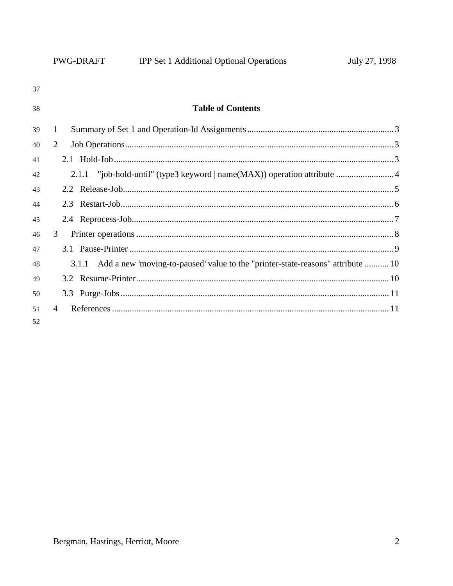|    | PWG-DRAFT | <b>IPP Set 1 Additional Optional Operations</b>                                 | July 27, 1998 |
|----|-----------|---------------------------------------------------------------------------------|---------------|
| 37 |           |                                                                                 |               |
| 38 |           | <b>Table of Contents</b>                                                        |               |
| 39 | 1         |                                                                                 |               |
| 40 | 2         |                                                                                 |               |
| 41 |           |                                                                                 |               |
| 42 |           |                                                                                 |               |
| 43 |           |                                                                                 |               |
| 44 |           |                                                                                 |               |
| 45 |           |                                                                                 |               |
| 46 | 3         |                                                                                 |               |
| 47 |           |                                                                                 |               |
| 48 | 3.1.1     | Add a new 'moving-to-paused' value to the "printer-state-reasons" attribute  10 |               |
| 49 |           |                                                                                 |               |
| 50 |           |                                                                                 |               |
|    |           |                                                                                 |               |
| 51 | 4         |                                                                                 |               |
| 52 |           |                                                                                 |               |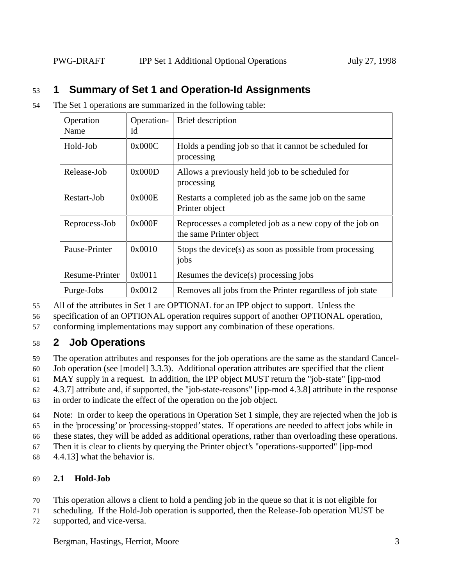# 53 **1 Summary of Set 1 and Operation-Id Assignments**

54 The Set 1 operations are summarized in the following table:

| Operation<br>Name | Operation-<br>Id | Brief description                                                                  |  |
|-------------------|------------------|------------------------------------------------------------------------------------|--|
| Hold-Job          | 0x000C           | Holds a pending job so that it cannot be scheduled for<br>processing               |  |
| Release-Job       | 0x000D           | Allows a previously held job to be scheduled for<br>processing                     |  |
| Restart-Job       | 0x000E           | Restarts a completed job as the same job on the same<br>Printer object             |  |
| Reprocess-Job     | 0x000F           | Reprocesses a completed job as a new copy of the job on<br>the same Printer object |  |
| Pause-Printer     | 0x0010           | Stops the device(s) as soon as possible from processing<br>jobs                    |  |
| Resume-Printer    | 0x0011           | Resumes the device(s) processing jobs                                              |  |
| Purge-Jobs        | 0x0012           | Removes all jobs from the Printer regardless of job state                          |  |

55 All of the attributes in Set 1 are OPTIONAL for an IPP object to support. Unless the

56 specification of an OPTIONAL operation requires support of another OPTIONAL operation,

57 conforming implementations may support any combination of these operations.

# 58 **2 Job Operations**

59 The operation attributes and responses for the job operations are the same as the standard Cancel-

60 Job operation (see [model] 3.3.3). Additional operation attributes are specified that the client

61 MAY supply in a request. In addition, the IPP object MUST return the "job-state" [ipp-mod

62 4.3.7] attribute and, if supported, the "job-state-reasons" [ipp-mod 4.3.8] attribute in the response

63 in order to indicate the effect of the operation on the job object.

64 Note: In order to keep the operations in Operation Set 1 simple, they are rejected when the job is

65 in the 'processing' or 'processing-stopped' states. If operations are needed to affect jobs while in

66 these states, they will be added as additional operations, rather than overloading these operations.

67 Then it is clear to clients by querying the Printer object's "operations-supported" [ipp-mod

68 4.4.13] what the behavior is.

## 69 **2.1 Hold-Job**

- 70 This operation allows a client to hold a pending job in the queue so that it is not eligible for
- 71 scheduling. If the Hold-Job operation is supported, then the Release-Job operation MUST be
- 72 supported, and vice-versa.

Bergman, Hastings, Herriot, Moore 3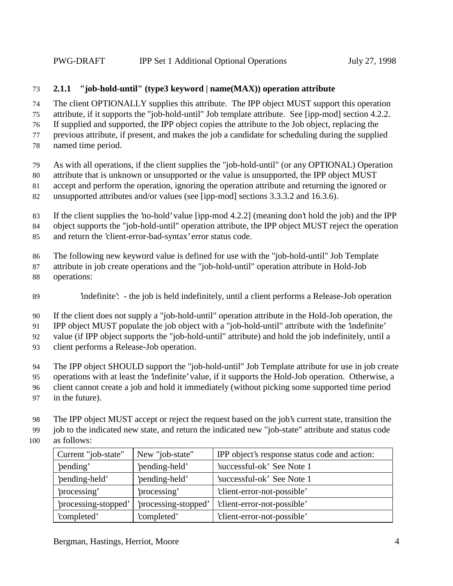### **2.1.1 "job-hold-until" (type3 keyword | name(MAX)) operation attribute**

 The client OPTIONALLY supplies this attribute. The IPP object MUST support this operation attribute, if it supports the "job-hold-until" Job template attribute. See [ipp-mod] section 4.2.2.

If supplied and supported, the IPP object copies the attribute to the Job object, replacing the

previous attribute, if present, and makes the job a candidate for scheduling during the supplied

- named time period.
- As with all operations, if the client supplies the "job-hold-until" (or any OPTIONAL) Operation
- attribute that is unknown or unsupported or the value is unsupported, the IPP object MUST
- accept and perform the operation, ignoring the operation attribute and returning the ignored or
- unsupported attributes and/or values (see [ipp-mod] sections 3.3.3.2 and 16.3.6).
- If the client supplies the 'no-hold' value [ipp-mod 4.2.2] (meaning don't hold the job) and the IPP object supports the "job-hold-until" operation attribute, the IPP object MUST reject the operation
- and return the 'client-error-bad-syntax' error status code.
- The following new keyword value is defined for use with the "job-hold-until" Job Template
- attribute in job create operations and the "job-hold-until" operation attribute in Hold-Job operations:
- 'indefinite': the job is held indefinitely, until a client performs a Release-Job operation
- If the client does not supply a "job-hold-until" operation attribute in the Hold-Job operation, the

IPP object MUST populate the job object with a "job-hold-until" attribute with the 'indefinite'

value (if IPP object supports the "job-hold-until" attribute) and hold the job indefinitely, until a

- client performs a Release-Job operation.
- The IPP object SHOULD support the "job-hold-until" Job Template attribute for use in job create
- operations with at least the 'indefinite' value, if it supports the Hold-Job operation. Otherwise, a
- client cannot create a job and hold it immediately (without picking some supported time period
- in the future).
- The IPP object MUST accept or reject the request based on the job's current state, transition the

job to the indicated new state, and return the indicated new "job-state" attribute and status code

as follows:

| Current "job-state"  | New "job-state"      | IPP object's response status code and action: |
|----------------------|----------------------|-----------------------------------------------|
| 'pending'            | 'pending-held'       | 'successful-ok' See Note 1                    |
| 'pending-held'       | 'pending-held'       | 'successful-ok' See Note 1                    |
| 'processing'         | processing'          | 'client-error-not-possible'                   |
| 'processing-stopped' | 'processing-stopped' | 'client-error-not-possible'                   |
| 'completed'          | 'completed'          | 'client-error-not-possible'                   |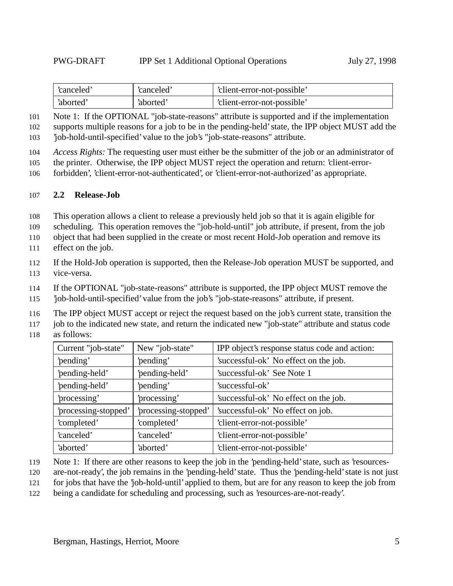| canceled' | 'canceled' | 'client-error-not-possible' |
|-----------|------------|-----------------------------|
| 'aborted' | 'aborted'  | 'client-error-not-possible' |

 Note 1: If the OPTIONAL "job-state-reasons" attribute is supported and if the implementation supports multiple reasons for a job to be in the pending-held' state, the IPP object MUST add the 'job-hold-until-specified' value to the job's "job-state-reasons" attribute.

*Access Rights:* The requesting user must either be the submitter of the job or an administrator of

the printer. Otherwise, the IPP object MUST reject the operation and return: 'client-error-

forbidden', 'client-error-not-authenticated', or 'client-error-not-authorized' as appropriate.

#### **2.2 Release-Job**

This operation allows a client to release a previously held job so that it is again eligible for

scheduling. This operation removes the "job-hold-until" job attribute, if present, from the job

object that had been supplied in the create or most recent Hold-Job operation and remove its

effect on the job.

 If the Hold-Job operation is supported, then the Release-Job operation MUST be supported, and vice-versa.

If the OPTIONAL "job-state-reasons" attribute is supported, the IPP object MUST remove the

'job-hold-until-specified' value from the job's "job-state-reasons" attribute, if present.

The IPP object MUST accept or reject the request based on the job's current state, transition the

job to the indicated new state, and return the indicated new "job-state" attribute and status code

as follows:

| Current "job-state"  | New "job-state"     | IPP object's response status code and action: |
|----------------------|---------------------|-----------------------------------------------|
| 'pending'            | 'pending'           | 'successful-ok' No effect on the job.         |
| 'pending-held'       | 'pending-held'      | 'successful-ok' See Note 1                    |
| 'pending-held'       | 'pending'           | 'successful-ok'                               |
| 'processing'         | processing'         | 'successful-ok' No effect on the job.         |
| 'processing-stopped' | processing-stopped' | 'successful-ok' No effect on job.             |
| 'completed'          | 'completed'         | 'client-error-not-possible'                   |
| 'canceled'           | 'canceled'          | 'client-error-not-possible'                   |
| 'aborted'            | 'aborted'           | 'client-error-not-possible'                   |

- Note 1: If there are other reasons to keep the job in the 'pending-held' state, such as 'resources-
- are-not-ready', the job remains in the 'pending-held' state. Thus the 'pending-held' state is not just
- for jobs that have the 'job-hold-until' applied to them, but are for any reason to keep the job from
- being a candidate for scheduling and processing, such as 'resources-are-not-ready'.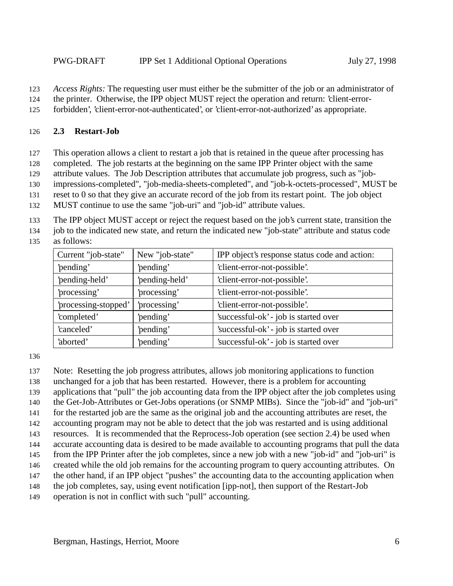*Access Rights:* The requesting user must either be the submitter of the job or an administrator of

the printer. Otherwise, the IPP object MUST reject the operation and return: 'client-error-

forbidden', 'client-error-not-authenticated', or 'client-error-not-authorized' as appropriate.

#### **2.3 Restart-Job**

This operation allows a client to restart a job that is retained in the queue after processing has

completed. The job restarts at the beginning on the same IPP Printer object with the same

attribute values. The Job Description attributes that accumulate job progress, such as "job-

impressions-completed", "job-media-sheets-completed", and "job-k-octets-processed", MUST be

reset to 0 so that they give an accurate record of the job from its restart point. The job object

MUST continue to use the same "job-uri" and "job-id" attribute values.

The IPP object MUST accept or reject the request based on the job's current state, transition the

 job to the indicated new state, and return the indicated new "job-state" attribute and status code as follows:

| Current "job-state"  | New "job-state" | IPP object's response status code and action: |
|----------------------|-----------------|-----------------------------------------------|
| 'pending'            | 'pending'       | 'client-error-not-possible'.                  |
| 'pending-held'       | 'pending-held'  | 'client-error-not-possible'.                  |
| processing'          | 'processing'    | 'client-error-not-possible'.                  |
| 'processing-stopped' | 'processing'    | 'client-error-not-possible'.                  |
| 'completed'          | 'pending'       | 'successful-ok' - job is started over         |
| 'canceled'           | 'pending'       | 'successful-ok' - job is started over         |
| 'aborted'            | 'pending'       | 'successful-ok' - job is started over         |

Note: Resetting the job progress attributes, allows job monitoring applications to function

unchanged for a job that has been restarted. However, there is a problem for accounting

applications that "pull" the job accounting data from the IPP object after the job completes using

the Get-Job-Attributes or Get-Jobs operations (or SNMP MIBs). Since the "job-id" and "job-uri"

for the restarted job are the same as the original job and the accounting attributes are reset, the

accounting program may not be able to detect that the job was restarted and is using additional

resources. It is recommended that the Reprocess-Job operation (see section 2.4) be used when

accurate accounting data is desired to be made available to accounting programs that pull the data

from the IPP Printer after the job completes, since a new job with a new "job-id" and "job-uri" is

created while the old job remains for the accounting program to query accounting attributes. On

the other hand, if an IPP object "pushes" the accounting data to the accounting application when

the job completes, say, using event notification [ipp-not], then support of the Restart-Job

operation is not in conflict with such "pull" accounting.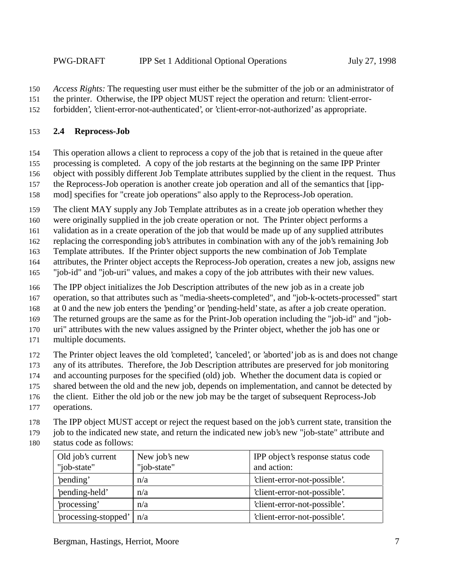*Access Rights:* The requesting user must either be the submitter of the job or an administrator of

the printer. Otherwise, the IPP object MUST reject the operation and return: 'client-error-

forbidden', 'client-error-not-authenticated', or 'client-error-not-authorized' as appropriate.

#### **2.4 Reprocess-Job**

This operation allows a client to reprocess a copy of the job that is retained in the queue after

processing is completed. A copy of the job restarts at the beginning on the same IPP Printer

object with possibly different Job Template attributes supplied by the client in the request. Thus

 the Reprocess-Job operation is another create job operation and all of the semantics that [ipp-mod] specifies for "create job operations" also apply to the Reprocess-Job operation.

The client MAY supply any Job Template attributes as in a create job operation whether they

were originally supplied in the job create operation or not. The Printer object performs a

validation as in a create operation of the job that would be made up of any supplied attributes

replacing the corresponding job's attributes in combination with any of the job's remaining Job

Template attributes. If the Printer object supports the new combination of Job Template

attributes, the Printer object accepts the Reprocess-Job operation, creates a new job, assigns new

"job-id" and "job-uri" values, and makes a copy of the job attributes with their new values.

The IPP object initializes the Job Description attributes of the new job as in a create job

operation, so that attributes such as "media-sheets-completed", and "job-k-octets-processed" start

at 0 and the new job enters the 'pending' or 'pending-held' state, as after a job create operation.

The returned groups are the same as for the Print-Job operation including the "job-id" and "job-

uri" attributes with the new values assigned by the Printer object, whether the job has one or

multiple documents.

The Printer object leaves the old 'completed', 'canceled', or 'aborted' job as is and does not change

any of its attributes. Therefore, the Job Description attributes are preserved for job monitoring

and accounting purposes for the specified (old) job. Whether the document data is copied or

shared between the old and the new job, depends on implementation, and cannot be detected by

- the client. Either the old job or the new job may be the target of subsequent Reprocess-Job
- operations.

The IPP object MUST accept or reject the request based on the job's current state, transition the

179 job to the indicated new state, and return the indicated new job's new "job-state" attribute and

status code as follows:

| Old job's current<br>"job-state" | New job's new<br>"job-state" | IPP object's response status code<br>and action: |
|----------------------------------|------------------------------|--------------------------------------------------|
| 'pending'                        | n/a                          | 'client-error-not-possible'.                     |
| 'pending-held'                   | n/a                          | 'client-error-not-possible'.                     |
| processing'                      | n/a                          | 'client-error-not-possible'.                     |
| 'processing-stopped'             | n/a                          | 'client-error-not-possible'.                     |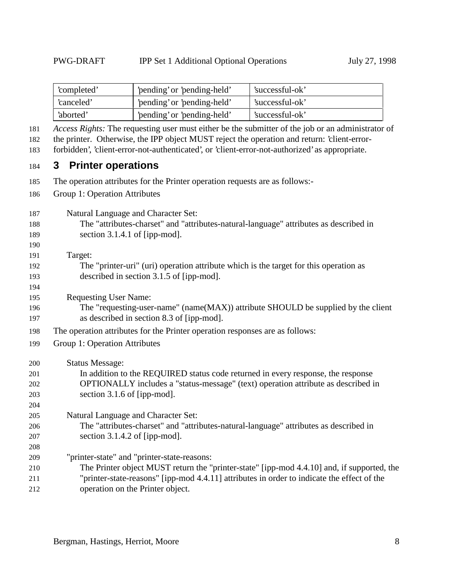| 'pending' or 'pending-held'<br>'completed' |                             | 'successful-ok' |
|--------------------------------------------|-----------------------------|-----------------|
| 'canceled'                                 | 'pending' or 'pending-held' | 'successful-ok' |
| 'aborted'                                  | 'pending' or 'pending-held' | 'successful-ok' |

*Access Rights:* The requesting user must either be the submitter of the job or an administrator of

the printer. Otherwise, the IPP object MUST reject the operation and return: 'client-error-

forbidden', 'client-error-not-authenticated', or 'client-error-not-authorized' as appropriate.

## **3 Printer operations**

- The operation attributes for the Printer operation requests are as follows:-
- Group 1: Operation Attributes

Natural Language and Character Set:

 The "attributes-charset" and "attributes-natural-language" attributes as described in section 3.1.4.1 of [ipp-mod].

 Target:

- The "printer-uri" (uri) operation attribute which is the target for this operation as described in section 3.1.5 of [ipp-mod].
- Requesting User Name:
- The "requesting-user-name" (name(MAX)) attribute SHOULD be supplied by the client as described in section 8.3 of [ipp-mod].
- The operation attributes for the Printer operation responses are as follows:
- Group 1: Operation Attributes

Status Message:

| 201 | In addition to the REQUIRED status code returned in every response, the response  |
|-----|-----------------------------------------------------------------------------------|
| 202 | OPTIONALLY includes a "status-message" (text) operation attribute as described in |
| 203 | section $3.1.6$ of [ipp-mod].                                                     |
| 204 |                                                                                   |

- Natural Language and Character Set: The "attributes-charset" and "attributes-natural-language" attributes as described in section 3.1.4.2 of [ipp-mod].
- "printer-state" and "printer-state-reasons: The Printer object MUST return the "printer-state" [ipp-mod 4.4.10] and, if supported, the "printer-state-reasons" [ipp-mod 4.4.11] attributes in order to indicate the effect of the
- operation on the Printer object.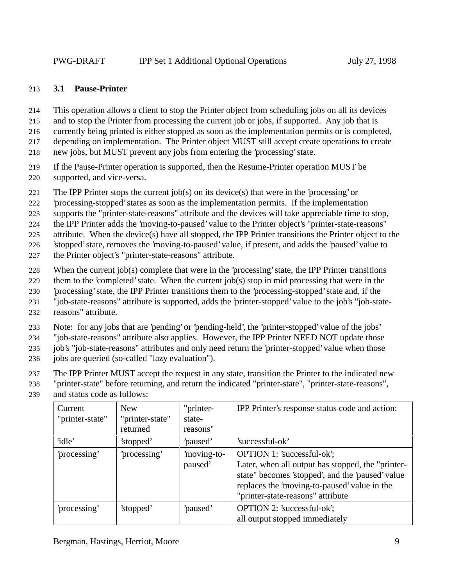#### 213 **3.1 Pause-Printer**

- 214 This operation allows a client to stop the Printer object from scheduling jobs on all its devices
- 215 and to stop the Printer from processing the current job or jobs, if supported. Any job that is
- 216 currently being printed is either stopped as soon as the implementation permits or is completed,
- 217 depending on implementation. The Printer object MUST still accept create operations to create
- 218 new jobs, but MUST prevent any jobs from entering the 'processing' state.
- 219 If the Pause-Printer operation is supported, then the Resume-Printer operation MUST be 220 supported, and vice-versa.
- 221 The IPP Printer stops the current job(s) on its device(s) that were in the 'processing' or
- 222 'processing-stopped' states as soon as the implementation permits. If the implementation
- 223 supports the "printer-state-reasons" attribute and the devices will take appreciable time to stop,
- 224 the IPP Printer adds the 'moving-to-paused' value to the Printer object's "printer-state-reasons"
- 225 attribute. When the device(s) have all stopped, the IPP Printer transitions the Printer object to the
- 226 'stopped' state, removes the 'moving-to-paused' value, if present, and adds the 'paused' value to
- 227 the Printer object's "printer-state-reasons" attribute.
- 228 When the current job(s) complete that were in the 'processing' state, the IPP Printer transitions
- 229 them to the 'completed' state. When the current job(s) stop in mid processing that were in the
- 230 'processing' state, the IPP Printer transitions them to the 'processing-stopped' state and, if the
- 231 "job-state-reasons" attribute is supported, adds the 'printer-stopped' value to the job's "job-state-
- 232 reasons" attribute.
- 233 Note: for any jobs that are 'pending' or 'pending-held', the 'printer-stopped' value of the jobs'
- 234 "job-state-reasons" attribute also applies. However, the IPP Printer NEED NOT update those
- 235 job's "job-state-reasons" attributes and only need return the 'printer-stopped' value when those
- 236 jobs are queried (so-called "lazy evaluation").
- 237 The IPP Printer MUST accept the request in any state, transition the Printer to the indicated new
- 238 "printer-state" before returning, and return the indicated "printer-state", "printer-state-reasons",
- 239 and status code as follows:

| Current<br>"printer-state" | <b>New</b><br>"printer-state"<br>returned | "printer-<br>state-<br>reasons" | IPP Printer's response status code and action:                                                                                                                                                                           |
|----------------------------|-------------------------------------------|---------------------------------|--------------------------------------------------------------------------------------------------------------------------------------------------------------------------------------------------------------------------|
| 'idle'                     | 'stopped'                                 | paused'                         | 'successful-ok'                                                                                                                                                                                                          |
| 'processing'               | processing'                               | moving-to-<br>paused'           | OPTION 1: 'successful-ok';<br>Later, when all output has stopped, the "printer-<br>state" becomes 'stopped', and the 'paused' value<br>replaces the 'moving-to-paused' value in the<br>"printer-state-reasons" attribute |
| 'processing'               | 'stopped'                                 | paused'                         | <b>OPTION 2: 'successful-ok';</b><br>all output stopped immediately                                                                                                                                                      |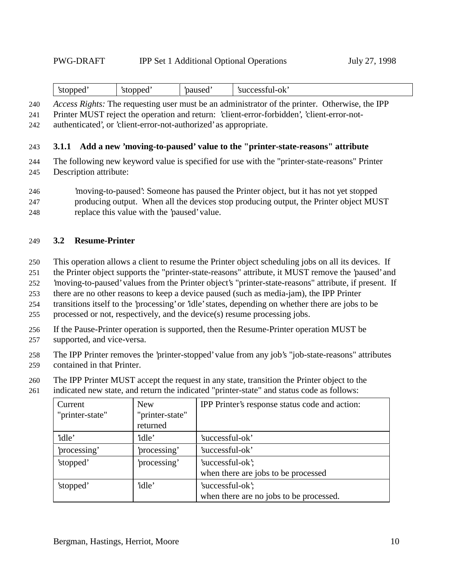| --<br>sto<br>≘nde∟ | pped<br>$\mathcal{L}$<br>- - | -<br>naused | reestul<br>-ok<br><b>CIL</b><br>successiui |
|--------------------|------------------------------|-------------|--------------------------------------------|
|--------------------|------------------------------|-------------|--------------------------------------------|

240 *Access Rights:* The requesting user must be an administrator of the printer. Otherwise, the IPP

241 Printer MUST reject the operation and return: 'client-error-forbidden', 'client-error-not-

242 authenticated', or 'client-error-not-authorized' as appropriate.

243 **3.1.1 Add a new 'moving-to-paused' value to the "printer-state-reasons" attribute**

244 The following new keyword value is specified for use with the "printer-state-reasons" Printer 245 Description attribute:

- 246 'moving-to-paused': Someone has paused the Printer object, but it has not yet stopped 247 producing output. When all the devices stop producing output, the Printer object MUST
- 248 replace this value with the 'paused' value.

#### 249 **3.2 Resume-Printer**

- 250 This operation allows a client to resume the Printer object scheduling jobs on all its devices. If
- 251 the Printer object supports the "printer-state-reasons" attribute, it MUST remove the 'paused' and
- 252 'moving-to-paused' values from the Printer object's "printer-state-reasons" attribute, if present. If

253 there are no other reasons to keep a device paused (such as media-jam), the IPP Printer

254 transitions itself to the 'processing' or 'idle' states, depending on whether there are jobs to be

- 255 processed or not, respectively, and the device(s) resume processing jobs.
- 256 If the Pause-Printer operation is supported, then the Resume-Printer operation MUST be
- 257 supported, and vice-versa.
- 258 The IPP Printer removes the 'printer-stopped' value from any job's "job-state-reasons" attributes 259 contained in that Printer.
- 260 The IPP Printer MUST accept the request in any state, transition the Printer object to the
- 261 indicated new state, and return the indicated "printer-state" and status code as follows:

| Current         | <b>New</b>      | IPP Printer's response status code and action: |
|-----------------|-----------------|------------------------------------------------|
| "printer-state" | "printer-state" |                                                |
|                 | returned        |                                                |
| 'idle'          | 'idle'          | 'successful-ok'                                |
| 'processing'    | 'processing'    | 'successful-ok'                                |
| 'stopped'       | 'processing'    | 'successful-ok';                               |
|                 |                 | when there are jobs to be processed            |
| 'stopped'       | 'idle'          | 'successful-ok';                               |
|                 |                 | when there are no jobs to be processed.        |